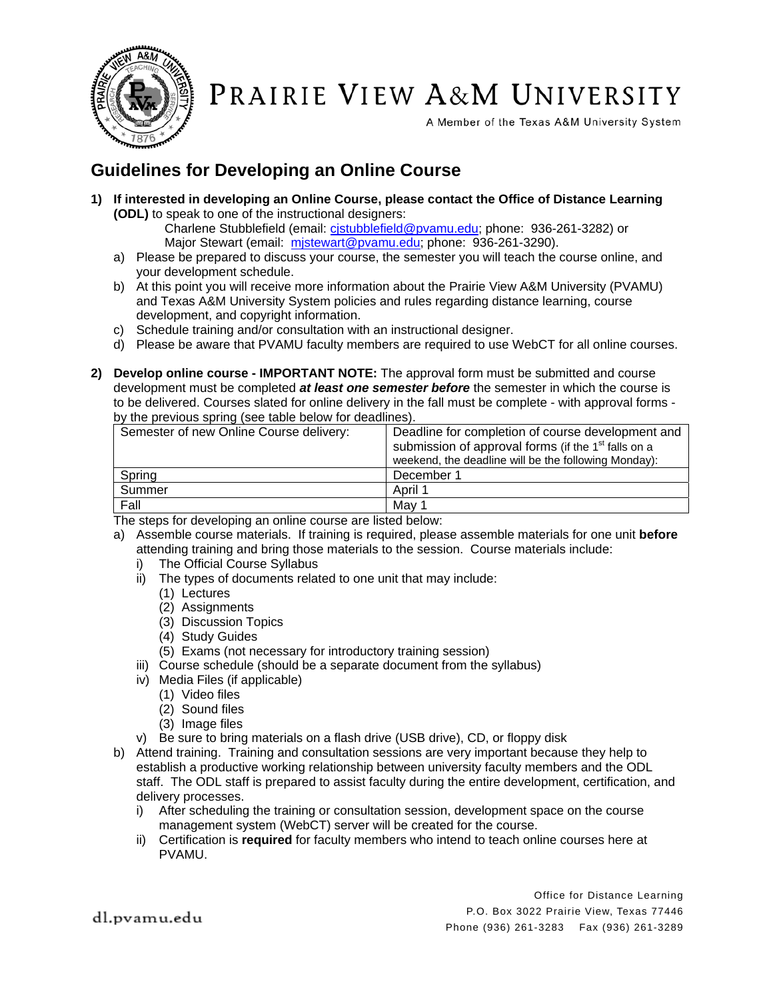

PRAIRIE VIEW A&M UNIVERSITY

A Member of the Texas A&M University System

## **Guidelines for Developing an Online Course**

**1) If interested in developing an Online Course, please contact the Office of Distance Learning (ODL)** to speak to one of the instructional designers:

Charlene Stubblefield (email: cistubblefield@pvamu.edu; phone: 936-261-3282) or Major Stewart (email: mjstewart@pvamu.edu; phone: 936-261-3290).

- a) Please be prepared to discuss your course, the semester you will teach the course online, and your development schedule.
- b) At this point you will receive more information about the Prairie View A&M University (PVAMU) and Texas A&M University System policies and rules regarding distance learning, course development, and copyright information.
- c) Schedule training and/or consultation with an instructional designer.
- d) Please be aware that PVAMU faculty members are required to use WebCT for all online courses.
- **2) Develop online course IMPORTANT NOTE:** The approval form must be submitted and course development must be completed *at least one semester before* the semester in which the course is to be delivered. Courses slated for online delivery in the fall must be complete - with approval forms by the previous spring (see table below for deadlines).

| Semester of new Online Course delivery: | Deadline for completion of course development and<br>submission of approval forms (if the 1 <sup>st</sup> falls on a<br>weekend, the deadline will be the following Monday): |
|-----------------------------------------|------------------------------------------------------------------------------------------------------------------------------------------------------------------------------|
| Spring                                  | December 1                                                                                                                                                                   |
| Summer                                  | April 1                                                                                                                                                                      |
| Fall                                    | Mav 1                                                                                                                                                                        |

The steps for developing an online course are listed below:

- a) Assemble course materials. If training is required, please assemble materials for one unit **before** attending training and bring those materials to the session. Course materials include:
	- i) The Official Course Syllabus
	- ii) The types of documents related to one unit that may include:
		- (1) Lectures
		- (2) Assignments
		- (3) Discussion Topics
		- (4) Study Guides
		- (5) Exams (not necessary for introductory training session)
	- iii) Course schedule (should be a separate document from the syllabus)
	- iv) Media Files (if applicable)
		- (1) Video files
		- (2) Sound files
		- (3) Image files
	- v) Be sure to bring materials on a flash drive (USB drive), CD, or floppy disk
- b) Attend training. Training and consultation sessions are very important because they help to establish a productive working relationship between university faculty members and the ODL staff. The ODL staff is prepared to assist faculty during the entire development, certification, and delivery processes.
	- i) After scheduling the training or consultation session, development space on the course management system (WebCT) server will be created for the course.
	- ii) Certification is **required** for faculty members who intend to teach online courses here at PVAMU.

Office for Distance Learning P.O. Box 3022 Prairie View, Texas 77446 Phone (936) 261-3283 Fax (936) 261-3289

dl.pvamu.edu